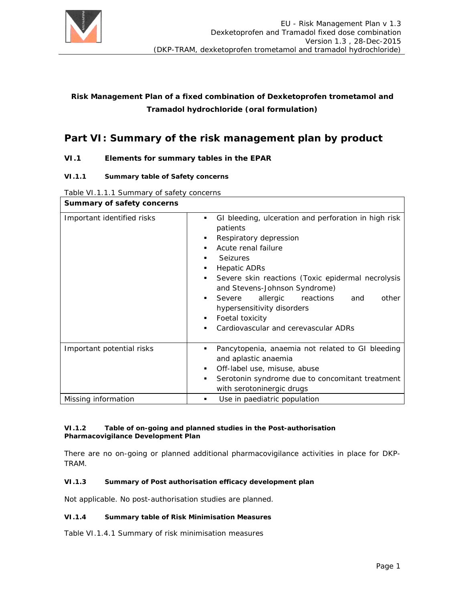

## **Risk Management Plan of a fixed combination of Dexketoprofen trometamol and Tramadol hydrochloride (oral formulation)**

# **Part VI: Summary of the risk management plan by product**

## **VI.1 Elements for summary tables in the EPAR**

#### **VI.1.1 Summary table of Safety concerns**

#### Table VI.1.1.1 Summary of safety concerns

| Summary of safety concerns |                                                                                                                                                                                                                                                                                                                                                                                                                                            |  |
|----------------------------|--------------------------------------------------------------------------------------------------------------------------------------------------------------------------------------------------------------------------------------------------------------------------------------------------------------------------------------------------------------------------------------------------------------------------------------------|--|
| Important identified risks | GI bleeding, ulceration and perforation in high risk<br>٠<br>patients<br>Respiratory depression<br>٠<br>Acute renal failure<br>▪<br><b>Seizures</b><br>▪<br><b>Hepatic ADRs</b><br>٠<br>Severe skin reactions (Toxic epidermal necrolysis<br>٠<br>and Stevens-Johnson Syndrome)<br>allergic<br>reactions<br>other<br>Severe<br>and<br>٠<br>hypersensitivity disorders<br>Foetal toxicity<br>٠<br>Cardiovascular and cerevascular ADRs<br>٠ |  |
| Important potential risks  | Pancytopenia, anaemia not related to GI bleeding<br>٠<br>and aplastic anaemia<br>Off-label use, misuse, abuse<br>٠<br>Serotonin syndrome due to concomitant treatment<br>٠<br>with serotoninergic drugs                                                                                                                                                                                                                                    |  |
| Missing information        | Use in paediatric population<br>٠                                                                                                                                                                                                                                                                                                                                                                                                          |  |

#### **VI.1.2 Table of on-going and planned studies in the Post-authorisation Pharmacovigilance Development Plan**

There are no on-going or planned additional pharmacovigilance activities in place for DKP-TRAM.

#### **VI.1.3 Summary of Post authorisation efficacy development plan**

Not applicable. No post-authorisation studies are planned.

#### **VI.1.4 Summary table of Risk Minimisation Measures**

Table VI.1.4.1 Summary of risk minimisation measures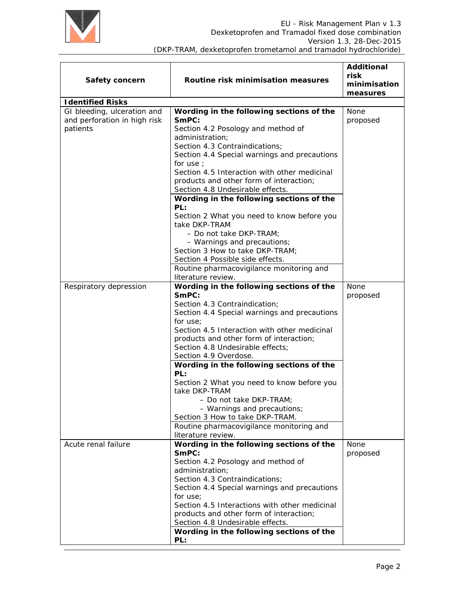

| Safety concern                                              | Routine risk minimisation measures                                                          | <b>Additional</b><br>risk<br>minimisation<br>measures |
|-------------------------------------------------------------|---------------------------------------------------------------------------------------------|-------------------------------------------------------|
| <b>Identified Risks</b>                                     |                                                                                             |                                                       |
| GI bleeding, ulceration and<br>and perforation in high risk | Wording in the following sections of the<br>SmPC:                                           | None<br>proposed                                      |
| patients                                                    | Section 4.2 Posology and method of<br>administration;                                       |                                                       |
|                                                             | Section 4.3 Contraindications;<br>Section 4.4 Special warnings and precautions<br>for use ; |                                                       |
|                                                             | Section 4.5 Interaction with other medicinal<br>products and other form of interaction;     |                                                       |
|                                                             | Section 4.8 Undesirable effects.                                                            |                                                       |
|                                                             | Wording in the following sections of the<br>PL:                                             |                                                       |
|                                                             | Section 2 What you need to know before you<br>take DKP-TRAM                                 |                                                       |
|                                                             | - Do not take DKP-TRAM;<br>- Warnings and precautions;                                      |                                                       |
|                                                             | Section 3 How to take DKP-TRAM;<br>Section 4 Possible side effects.                         |                                                       |
|                                                             | Routine pharmacovigilance monitoring and<br>literature review.                              |                                                       |
| Respiratory depression                                      | Wording in the following sections of the                                                    | <b>None</b>                                           |
|                                                             | SmPC:<br>Section 4.3 Contraindication;                                                      | proposed                                              |
|                                                             | Section 4.4 Special warnings and precautions<br>for use;                                    |                                                       |
|                                                             | Section 4.5 Interaction with other medicinal<br>products and other form of interaction;     |                                                       |
|                                                             | Section 4.8 Undesirable effects;                                                            |                                                       |
|                                                             | Section 4.9 Overdose.<br>Wording in the following sections of the                           |                                                       |
|                                                             | PL:<br>Section 2 What you need to know before you                                           |                                                       |
|                                                             | take DKP-TRAM<br>$-$ Do not take DKP-TRAM:                                                  |                                                       |
|                                                             | - Warnings and precautions;<br>Section 3 How to take DKP-TRAM.                              |                                                       |
|                                                             | Routine pharmacovigilance monitoring and<br>literature review.                              |                                                       |
| Acute renal failure                                         | Wording in the following sections of the<br>SmPC:                                           | None<br>proposed                                      |
|                                                             | Section 4.2 Posology and method of<br>administration;                                       |                                                       |
|                                                             | Section 4.3 Contraindications;<br>Section 4.4 Special warnings and precautions              |                                                       |
|                                                             | for use;                                                                                    |                                                       |
|                                                             | Section 4.5 Interactions with other medicinal<br>products and other form of interaction;    |                                                       |
|                                                             | Section 4.8 Undesirable effects.                                                            |                                                       |
|                                                             | Wording in the following sections of the<br>PL:                                             |                                                       |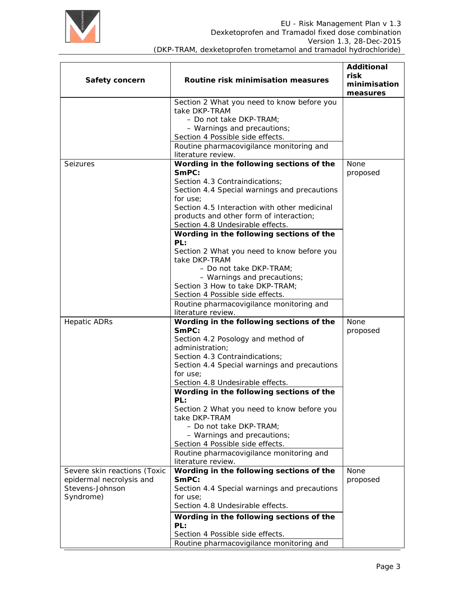

| Safety concern                                           | Routine risk minimisation measures                                                      | <b>Additional</b><br>risk<br>minimisation<br>measures |
|----------------------------------------------------------|-----------------------------------------------------------------------------------------|-------------------------------------------------------|
|                                                          | Section 2 What you need to know before you                                              |                                                       |
|                                                          | take DKP-TRAM                                                                           |                                                       |
|                                                          | - Do not take DKP-TRAM;                                                                 |                                                       |
|                                                          | - Warnings and precautions;<br>Section 4 Possible side effects.                         |                                                       |
|                                                          | Routine pharmacovigilance monitoring and<br>literature review.                          |                                                       |
| <b>Seizures</b>                                          | Wording in the following sections of the                                                | None                                                  |
|                                                          | SmPC:                                                                                   | proposed                                              |
|                                                          | Section 4.3 Contraindications;                                                          |                                                       |
|                                                          | Section 4.4 Special warnings and precautions                                            |                                                       |
|                                                          | for use;                                                                                |                                                       |
|                                                          | Section 4.5 Interaction with other medicinal<br>products and other form of interaction; |                                                       |
|                                                          | Section 4.8 Undesirable effects.                                                        |                                                       |
|                                                          | Wording in the following sections of the                                                |                                                       |
|                                                          | PL:                                                                                     |                                                       |
|                                                          | Section 2 What you need to know before you                                              |                                                       |
|                                                          | take DKP-TRAM                                                                           |                                                       |
|                                                          | - Do not take DKP-TRAM;                                                                 |                                                       |
|                                                          | - Warnings and precautions;                                                             |                                                       |
|                                                          | Section 3 How to take DKP-TRAM;                                                         |                                                       |
|                                                          | Section 4 Possible side effects.                                                        |                                                       |
|                                                          | Routine pharmacovigilance monitoring and<br>literature review.                          |                                                       |
| <b>Hepatic ADRs</b>                                      | Wording in the following sections of the                                                | None                                                  |
|                                                          | SmPC:                                                                                   | proposed                                              |
|                                                          | Section 4.2 Posology and method of                                                      |                                                       |
|                                                          | administration;                                                                         |                                                       |
|                                                          | Section 4.3 Contraindications;                                                          |                                                       |
|                                                          | Section 4.4 Special warnings and precautions                                            |                                                       |
|                                                          | for use;                                                                                |                                                       |
|                                                          | Section 4.8 Undesirable effects.                                                        |                                                       |
|                                                          | Wording in the following sections of the<br>PL:                                         |                                                       |
|                                                          | Section 2 What you need to know before you<br>take DKP-TRAM                             |                                                       |
|                                                          | - Do not take DKP-TRAM;                                                                 |                                                       |
|                                                          | - Warnings and precautions;                                                             |                                                       |
|                                                          | Section 4 Possible side effects.                                                        |                                                       |
|                                                          | Routine pharmacovigilance monitoring and<br>literature review.                          |                                                       |
| Severe skin reactions (Toxic<br>epidermal necrolysis and | Wording in the following sections of the<br>SmPC:                                       | <b>None</b><br>proposed                               |
| Stevens-Johnson                                          | Section 4.4 Special warnings and precautions                                            |                                                       |
| Syndrome)                                                | for use:                                                                                |                                                       |
|                                                          | Section 4.8 Undesirable effects.                                                        |                                                       |
|                                                          | Wording in the following sections of the<br>PL:                                         |                                                       |
|                                                          | Section 4 Possible side effects.                                                        |                                                       |
|                                                          | Routine pharmacovigilance monitoring and                                                |                                                       |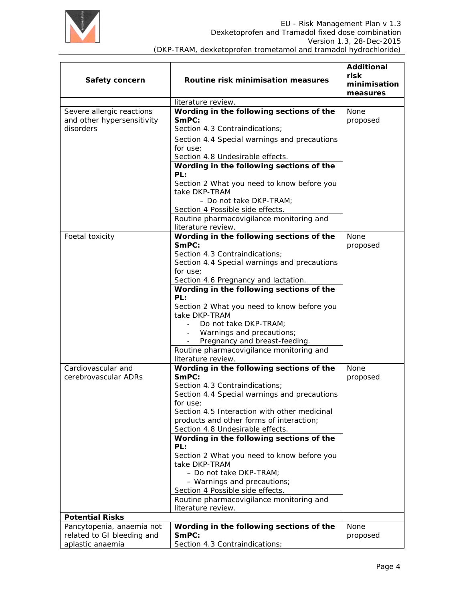

| Safety concern                                                              | Routine risk minimisation measures                                                                                                                                                                                                                                                                                                                                                                                                                                                                                                                                | <b>Additional</b><br>risk<br>minimisation<br>measures |
|-----------------------------------------------------------------------------|-------------------------------------------------------------------------------------------------------------------------------------------------------------------------------------------------------------------------------------------------------------------------------------------------------------------------------------------------------------------------------------------------------------------------------------------------------------------------------------------------------------------------------------------------------------------|-------------------------------------------------------|
|                                                                             | literature review.                                                                                                                                                                                                                                                                                                                                                                                                                                                                                                                                                |                                                       |
| Severe allergic reactions<br>and other hypersensitivity<br>disorders        | Wording in the following sections of the<br>SmPC:<br>Section 4.3 Contraindications;<br>Section 4.4 Special warnings and precautions<br>for use;<br>Section 4.8 Undesirable effects.<br>Wording in the following sections of the                                                                                                                                                                                                                                                                                                                                   | None<br>proposed                                      |
|                                                                             | PL:<br>Section 2 What you need to know before you<br>take DKP-TRAM<br>- Do not take DKP-TRAM;<br>Section 4 Possible side effects.<br>Routine pharmacovigilance monitoring and<br>literature review.                                                                                                                                                                                                                                                                                                                                                               |                                                       |
| Foetal toxicity                                                             | Wording in the following sections of the<br>SmPC:<br>Section 4.3 Contraindications;<br>Section 4.4 Special warnings and precautions<br>for use;<br>Section 4.6 Pregnancy and lactation.<br>Wording in the following sections of the<br>PL:<br>Section 2 What you need to know before you<br>take DKP-TRAM<br>Do not take DKP-TRAM;<br>$\equiv$<br>Warnings and precautions;<br>Pregnancy and breast-feeding.<br>Routine pharmacovigilance monitoring and<br>literature review.                                                                                    | None<br>proposed                                      |
| Cardiovascular and<br>cerebrovascular ADRs                                  | Wording in the following sections of the<br>SmPC:<br>Section 4.3 Contraindications;<br>Section 4.4 Special warnings and precautions<br>for use;<br>Section 4.5 Interaction with other medicinal<br>products and other forms of interaction;<br>Section 4.8 Undesirable effects.<br>Wording in the following sections of the<br>PL:<br>Section 2 What you need to know before you<br>take DKP-TRAM<br>- Do not take DKP-TRAM;<br>- Warnings and precautions;<br>Section 4 Possible side effects.<br>Routine pharmacovigilance monitoring and<br>literature review. | None<br>proposed                                      |
| <b>Potential Risks</b>                                                      |                                                                                                                                                                                                                                                                                                                                                                                                                                                                                                                                                                   |                                                       |
| Pancytopenia, anaemia not<br>related to GI bleeding and<br>aplastic anaemia | Wording in the following sections of the<br>SmPC:<br>Section 4.3 Contraindications;                                                                                                                                                                                                                                                                                                                                                                                                                                                                               | None<br>proposed                                      |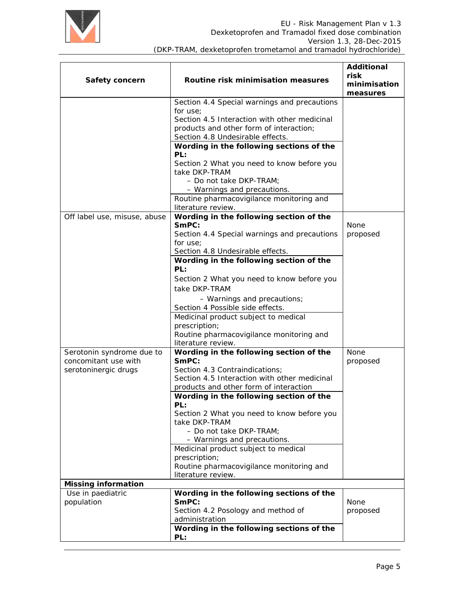

| Safety concern                  | Routine risk minimisation measures                                             | <b>Additional</b><br>risk<br>minimisation<br>measures |
|---------------------------------|--------------------------------------------------------------------------------|-------------------------------------------------------|
|                                 | Section 4.4 Special warnings and precautions                                   |                                                       |
|                                 | for use:                                                                       |                                                       |
|                                 | Section 4.5 Interaction with other medicinal                                   |                                                       |
|                                 | products and other form of interaction;<br>Section 4.8 Undesirable effects.    |                                                       |
|                                 | Wording in the following sections of the<br>PL:                                |                                                       |
|                                 | Section 2 What you need to know before you<br>take DKP-TRAM                    |                                                       |
|                                 | - Do not take DKP-TRAM;                                                        |                                                       |
|                                 | - Warnings and precautions.                                                    |                                                       |
|                                 | Routine pharmacovigilance monitoring and<br>literature review.                 |                                                       |
| Off label use, misuse, abuse    | Wording in the following section of the                                        |                                                       |
|                                 | SmPC:                                                                          | None                                                  |
|                                 | Section 4.4 Special warnings and precautions<br>for use:                       | proposed                                              |
|                                 | Section 4.8 Undesirable effects.                                               |                                                       |
|                                 | Wording in the following section of the<br>PL:                                 |                                                       |
|                                 | Section 2 What you need to know before you                                     |                                                       |
|                                 | take DKP-TRAM                                                                  |                                                       |
|                                 | - Warnings and precautions;                                                    |                                                       |
|                                 | Section 4 Possible side effects.                                               |                                                       |
|                                 | Medicinal product subject to medical                                           |                                                       |
|                                 | prescription;<br>Routine pharmacovigilance monitoring and                      |                                                       |
|                                 | literature review.                                                             |                                                       |
| Serotonin syndrome due to       | Wording in the following section of the                                        | <b>None</b>                                           |
| concomitant use with            | SmPC:                                                                          | proposed                                              |
| serotoninergic drugs            | Section 4.3 Contraindications;<br>Section 4.5 Interaction with other medicinal |                                                       |
|                                 | products and other form of interaction                                         |                                                       |
|                                 | Wording in the following section of the                                        |                                                       |
|                                 | PL:                                                                            |                                                       |
|                                 | Section 2 What you need to know before you<br>take DKP-TRAM                    |                                                       |
|                                 | - Do not take DKP-TRAM;                                                        |                                                       |
|                                 | - Warnings and precautions.                                                    |                                                       |
|                                 | Medicinal product subject to medical<br>prescription;                          |                                                       |
|                                 | Routine pharmacovigilance monitoring and                                       |                                                       |
|                                 | literature review.                                                             |                                                       |
| <b>Missing information</b>      |                                                                                |                                                       |
| Use in paediatric<br>population | Wording in the following sections of the<br>SmPC:                              | None                                                  |
|                                 | Section 4.2 Posology and method of                                             | proposed                                              |
|                                 | administration<br>Wording in the following sections of the                     |                                                       |
|                                 | PL:                                                                            |                                                       |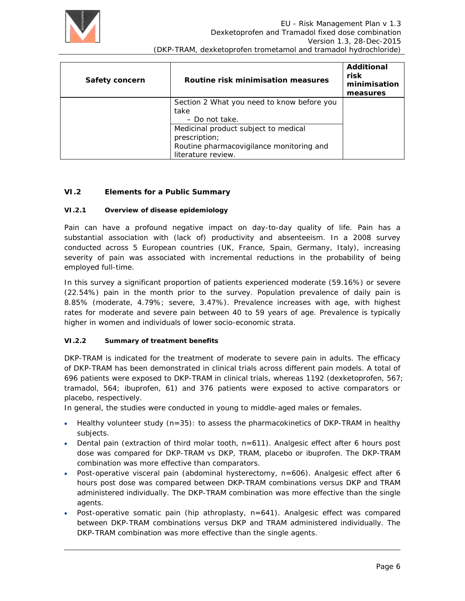

| Safety concern | Routine risk minimisation measures         | Additional<br>risk<br>minimisation<br>measures |
|----------------|--------------------------------------------|------------------------------------------------|
|                | Section 2 What you need to know before you |                                                |
|                | take                                       |                                                |
|                | - Do not take.                             |                                                |
|                | Medicinal product subject to medical       |                                                |
|                | prescription;                              |                                                |
|                | Routine pharmacovigilance monitoring and   |                                                |
|                | literature review.                         |                                                |

## **VI.2 Elements for a Public Summary**

#### **VI.2.1 Overview of disease epidemiology**

Pain can have a profound negative impact on day-to-day quality of life. Pain has a substantial association with (lack of) productivity and absenteeism. In a 2008 survey conducted across 5 European countries (UK, France, Spain, Germany, Italy), increasing severity of pain was associated with incremental reductions in the probability of being employed full-time.

In this survey a significant proportion of patients experienced moderate (59.16%) or severe (22.54%) pain in the month prior to the survey. Population prevalence of daily pain is 8.85% (moderate, 4.79%; severe, 3.47%). Prevalence increases with age, with highest rates for moderate and severe pain between 40 to 59 years of age. Prevalence is typically higher in women and individuals of lower socio-economic strata.

#### **VI.2.2 Summary of treatment benefits**

DKP-TRAM is indicated for the treatment of moderate to severe pain in adults. The efficacy of DKP-TRAM has been demonstrated in clinical trials across different pain models. A total of 696 patients were exposed to DKP-TRAM in clinical trials, whereas 1192 (dexketoprofen, 567; tramadol, 564; ibuprofen, 61) and 376 patients were exposed to active comparators or placebo, respectively.

In general, the studies were conducted in young to middle-aged males or females.

- Healthy volunteer study  $(n=35)$ : to assess the pharmacokinetics of DKP-TRAM in healthy subjects.
- Dental pain (extraction of third molar tooth, n=611). Analgesic effect after 6 hours post dose was compared for DKP-TRAM vs DKP, TRAM, placebo or ibuprofen. The DKP-TRAM combination was more effective than comparators.
- Post-operative visceral pain (abdominal hysterectomy, n=606). Analgesic effect after 6 hours post dose was compared between DKP-TRAM combinations versus DKP and TRAM administered individually. The DKP-TRAM combination was more effective than the single agents.
- Post-operative somatic pain (hip athroplasty, n=641). Analgesic effect was compared between DKP-TRAM combinations versus DKP and TRAM administered individually. The DKP-TRAM combination was more effective than the single agents.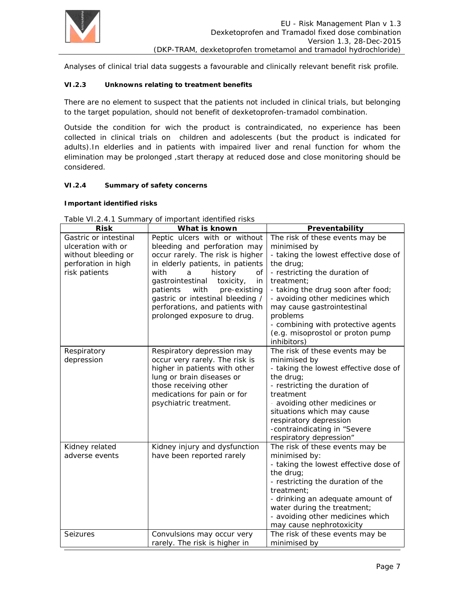

Analyses of clinical trial data suggests a favourable and clinically relevant benefit risk profile.

#### **VI.2.3 Unknowns relating to treatment benefits**

There are no element to suspect that the patients not included in clinical trials, but belonging to the target population, should not benefit of dexketoprofen-tramadol combination.

Outside the condition for wich the product is contraindicated, no experience has been collected in clinical trials on children and adolescents (but the product is indicated for adults).In elderlies and in patients with impaired liver and renal function for whom the elimination may be prolonged ,start therapy at reduced dose and close monitoring should be considered.

### **VI.2.4 Summary of safety concerns**

#### **Important identified risks**

| <b>Risk</b>           | What is known                       | Preventability                        |  |
|-----------------------|-------------------------------------|---------------------------------------|--|
| Gastric or intestinal | Peptic ulcers with or without       | The risk of these events may be       |  |
| ulceration with or    | bleeding and perforation may        | minimised by                          |  |
| without bleeding or   | occur rarely. The risk is higher    | - taking the lowest effective dose of |  |
| perforation in high   | in elderly patients, in patients    | the drug;                             |  |
| risk patients         | with<br>history<br>a<br>οf          | - restricting the duration of         |  |
|                       | gastrointestinal<br>toxicity,<br>in | treatment:                            |  |
|                       | with<br>pre-existing<br>patients    | - taking the drug soon after food;    |  |
|                       | gastric or intestinal bleeding /    | - avoiding other medicines which      |  |
|                       | perforations, and patients with     | may cause gastrointestinal            |  |
|                       | prolonged exposure to drug.         | problems                              |  |
|                       |                                     | - combining with protective agents    |  |
|                       |                                     | (e.g. misoprostol or proton pump      |  |
|                       |                                     | inhibitors)                           |  |
| Respiratory           | Respiratory depression may          | The risk of these events may be       |  |
| depression            | occur very rarely. The risk is      | minimised by                          |  |
|                       | higher in patients with other       | - taking the lowest effective dose of |  |
|                       | lung or brain diseases or           | the drug;                             |  |
|                       | those receiving other               | - restricting the duration of         |  |
|                       | medications for pain or for         | treatment                             |  |
|                       | psychiatric treatment.              | - avoiding other medicines or         |  |
|                       |                                     | situations which may cause            |  |
|                       |                                     | respiratory depression                |  |
|                       |                                     | -contraindicating in "Severe          |  |
|                       |                                     | respiratory depression"               |  |
| Kidney related        | Kidney injury and dysfunction       | The risk of these events may be       |  |
| adverse events        | have been reported rarely           | minimised by:                         |  |
|                       |                                     | - taking the lowest effective dose of |  |
|                       |                                     | the drug;                             |  |
|                       |                                     | - restricting the duration of the     |  |
|                       |                                     | treatment;                            |  |
|                       |                                     | - drinking an adequate amount of      |  |
|                       |                                     | water during the treatment;           |  |
|                       |                                     | - avoiding other medicines which      |  |
|                       |                                     | may cause nephrotoxicity              |  |
| Seizures              | Convulsions may occur very          | The risk of these events may be       |  |
|                       | rarely. The risk is higher in       | minimised by                          |  |

Table VI.2.4.1 Summary of important identified risks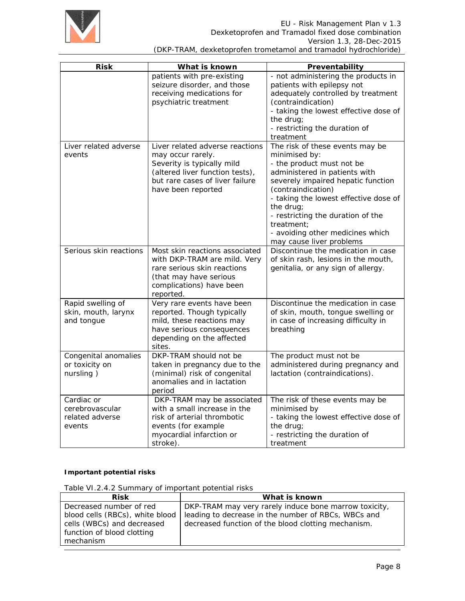

| <b>Risk</b>                                                | What is known                                                                                                                                                                  | Preventability                                                                                                                                                                                                                                                                                                                                      |
|------------------------------------------------------------|--------------------------------------------------------------------------------------------------------------------------------------------------------------------------------|-----------------------------------------------------------------------------------------------------------------------------------------------------------------------------------------------------------------------------------------------------------------------------------------------------------------------------------------------------|
|                                                            | patients with pre-existing<br>seizure disorder, and those<br>receiving medications for<br>psychiatric treatment                                                                | - not administering the products in<br>patients with epilepsy not<br>adequately controlled by treatment<br>(contraindication)<br>- taking the lowest effective dose of<br>the drug;<br>- restricting the duration of<br>treatment                                                                                                                   |
| Liver related adverse<br>events                            | Liver related adverse reactions<br>may occur rarely.<br>Severity is typically mild<br>(altered liver function tests),<br>but rare cases of liver failure<br>have been reported | The risk of these events may be<br>minimised by:<br>- the product must not be<br>administered in patients with<br>severely impaired hepatic function<br>(contraindication)<br>- taking the lowest effective dose of<br>the drug;<br>- restricting the duration of the<br>treatment;<br>- avoiding other medicines which<br>may cause liver problems |
| Serious skin reactions                                     | Most skin reactions associated<br>with DKP-TRAM are mild. Very<br>rare serious skin reactions<br>(that may have serious<br>complications) have been<br>reported.               | Discontinue the medication in case<br>of skin rash, lesions in the mouth,<br>genitalia, or any sign of allergy.                                                                                                                                                                                                                                     |
| Rapid swelling of<br>skin, mouth, larynx<br>and tongue     | Very rare events have been<br>reported. Though typically<br>mild, these reactions may<br>have serious consequences<br>depending on the affected<br>sites.                      | Discontinue the medication in case<br>of skin, mouth, tongue swelling or<br>in case of increasing difficulty in<br>breathing                                                                                                                                                                                                                        |
| Congenital anomalies<br>or toxicity on<br>nursling)        | DKP-TRAM should not be<br>taken in pregnancy due to the<br>(minimal) risk of congenital<br>anomalies and in lactation<br>period                                                | The product must not be<br>administered during pregnancy and<br>lactation (contraindications).                                                                                                                                                                                                                                                      |
| Cardiac or<br>cerebrovascular<br>related adverse<br>events | DKP-TRAM may be associated<br>with a small increase in the<br>risk of arterial thrombotic<br>events (for example<br>myocardial infarction or<br>stroke).                       | The risk of these events may be<br>minimised by<br>- taking the lowest effective dose of<br>the drug;<br>- restricting the duration of<br>treatment                                                                                                                                                                                                 |

#### **Important potential risks**

Table VI.2.4.2 Summary of important potential risks

| <b>Risk</b>                     | What is known                                         |
|---------------------------------|-------------------------------------------------------|
| Decreased number of red         | DKP-TRAM may very rarely induce bone marrow toxicity, |
| blood cells (RBCs), white blood | leading to decrease in the number of RBCs, WBCs and   |
| cells (WBCs) and decreased      | decreased function of the blood clotting mechanism.   |
| function of blood clotting      |                                                       |
| mechanism                       |                                                       |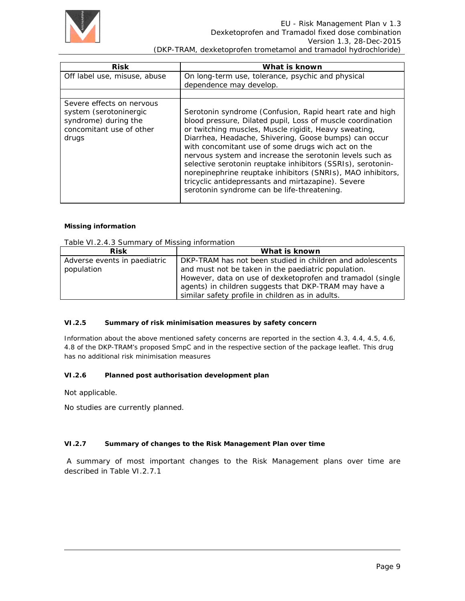

| <b>Risk</b>                                                                                                      | What is known                                                                                                                                                                                                                                                                                                                                                                                                                                                                                                                                                                                 |
|------------------------------------------------------------------------------------------------------------------|-----------------------------------------------------------------------------------------------------------------------------------------------------------------------------------------------------------------------------------------------------------------------------------------------------------------------------------------------------------------------------------------------------------------------------------------------------------------------------------------------------------------------------------------------------------------------------------------------|
| Off label use, misuse, abuse                                                                                     | On long-term use, tolerance, psychic and physical<br>dependence may develop.                                                                                                                                                                                                                                                                                                                                                                                                                                                                                                                  |
|                                                                                                                  |                                                                                                                                                                                                                                                                                                                                                                                                                                                                                                                                                                                               |
| Severe effects on nervous<br>system (serotoninergic<br>syndrome) during the<br>concomitant use of other<br>drugs | Serotonin syndrome (Confusion, Rapid heart rate and high<br>blood pressure, Dilated pupil, Loss of muscle coordination<br>or twitching muscles, Muscle rigidit, Heavy sweating,<br>Diarrhea, Headache, Shivering, Goose bumps) can occur<br>with concomitant use of some drugs wich act on the<br>nervous system and increase the serotonin levels such as<br>selective serotonin reuptake inhibitors (SSRIs), serotonin-<br>norepinephrine reuptake inhibitors (SNRIs), MAO inhibitors,<br>tricyclic antidepressants and mirtazapine). Severe<br>serotonin syndrome can be life-threatening. |

#### **Missing information**

Table VI.2.4.3 Summary of Missing information

| Risk                         | What is known                                              |
|------------------------------|------------------------------------------------------------|
| Adverse events in paediatric | DKP-TRAM has not been studied in children and adolescents  |
| population                   | and must not be taken in the paediatric population.        |
|                              | However, data on use of dexketoprofen and tramadol (single |
|                              | agents) in children suggests that DKP-TRAM may have a      |
|                              | similar safety profile in children as in adults.           |

#### **VI.2.5 Summary of risk minimisation measures by safety concern**

Information about the above mentioned safety concerns are reported in the section 4.3, 4.4, 4.5, 4.6, 4.8 of the DKP-TRAM's proposed SmpC and in the respective section of the package leaflet. This drug has no additional risk minimisation measures

#### **VI.2.6 Planned post authorisation development plan**

Not applicable.

No studies are currently planned.

#### **VI.2.7 Summary of changes to the Risk Management Plan over time**

 A summary of most important changes to the Risk Management plans over time are described in Table VI.2.7.1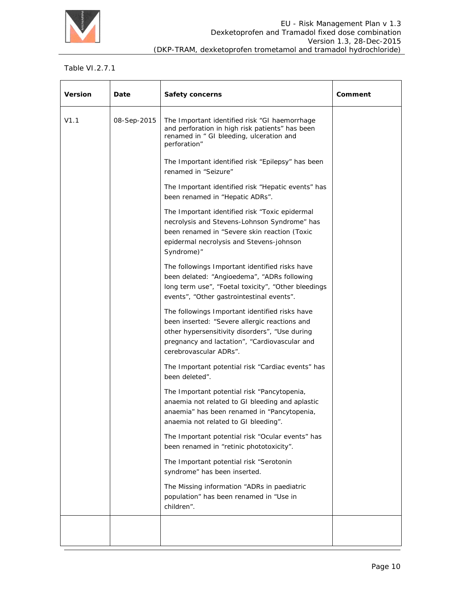

### Table VI.2.7.1

| <b>Version</b> | Date        | <b>Safety concerns</b>                                                                                                                                                                                                       | Comment |
|----------------|-------------|------------------------------------------------------------------------------------------------------------------------------------------------------------------------------------------------------------------------------|---------|
| V1.1           | 08-Sep-2015 | The Important identified risk "GI haemorrhage<br>and perforation in high risk patients" has been<br>renamed in " GI bleeding, ulceration and<br>perforation"                                                                 |         |
|                |             | The Important identified risk "Epilepsy" has been<br>renamed in "Seizure"                                                                                                                                                    |         |
|                |             | The Important identified risk "Hepatic events" has<br>been renamed in "Hepatic ADRs".                                                                                                                                        |         |
|                |             | The Important identified risk "Toxic epidermal<br>necrolysis and Stevens-Lohnson Syndrome" has<br>been renamed in "Severe skin reaction (Toxic<br>epidermal necrolysis and Stevens-johnson<br>Syndrome)"                     |         |
|                |             | The followings Important identified risks have<br>been delated: "Angioedema", "ADRs following<br>long term use", "Foetal toxicity", "Other bleedings<br>events", "Other gastrointestinal events".                            |         |
|                |             | The followings Important identified risks have<br>been inserted: "Severe allergic reactions and<br>other hypersensitivity disorders", "Use during<br>pregnancy and lactation", "Cardiovascular and<br>cerebrovascular ADRs". |         |
|                |             | The Important potential risk "Cardiac events" has<br>been deleted".                                                                                                                                                          |         |
|                |             | The Important potential risk "Pancytopenia,<br>anaemia not related to GI bleeding and aplastic<br>anaemia" has been renamed in "Pancytopenia,<br>anaemia not related to GI bleeding".                                        |         |
|                |             | The Important potential risk "Ocular events" has<br>been renamed in "retinic phototoxicity".                                                                                                                                 |         |
|                |             | The Important potential risk "Serotonin<br>syndrome" has been inserted.                                                                                                                                                      |         |
|                |             | The Missing information "ADRs in paediatric<br>population" has been renamed in "Use in<br>children".                                                                                                                         |         |
|                |             |                                                                                                                                                                                                                              |         |